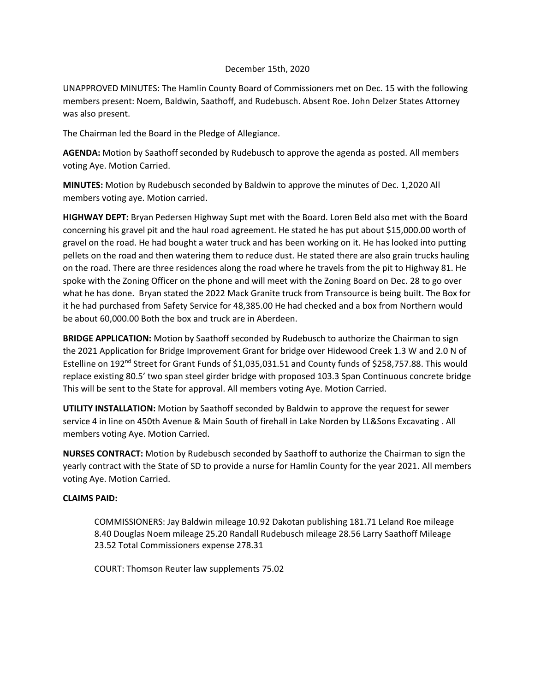## December 15th, 2020

UNAPPROVED MINUTES: The Hamlin County Board of Commissioners met on Dec. 15 with the following members present: Noem, Baldwin, Saathoff, and Rudebusch. Absent Roe. John Delzer States Attorney was also present.

The Chairman led the Board in the Pledge of Allegiance.

**AGENDA:** Motion by Saathoff seconded by Rudebusch to approve the agenda as posted. All members voting Aye. Motion Carried.

**MINUTES:** Motion by Rudebusch seconded by Baldwin to approve the minutes of Dec. 1,2020 All members voting aye. Motion carried.

**HIGHWAY DEPT:** Bryan Pedersen Highway Supt met with the Board. Loren Beld also met with the Board concerning his gravel pit and the haul road agreement. He stated he has put about \$15,000.00 worth of gravel on the road. He had bought a water truck and has been working on it. He has looked into putting pellets on the road and then watering them to reduce dust. He stated there are also grain trucks hauling on the road. There are three residences along the road where he travels from the pit to Highway 81. He spoke with the Zoning Officer on the phone and will meet with the Zoning Board on Dec. 28 to go over what he has done. Bryan stated the 2022 Mack Granite truck from Transource is being built. The Box for it he had purchased from Safety Service for 48,385.00 He had checked and a box from Northern would be about 60,000.00 Both the box and truck are in Aberdeen.

**BRIDGE APPLICATION:** Motion by Saathoff seconded by Rudebusch to authorize the Chairman to sign the 2021 Application for Bridge Improvement Grant for bridge over Hidewood Creek 1.3 W and 2.0 N of Estelline on 192<sup>nd</sup> Street for Grant Funds of \$1,035,031.51 and County funds of \$258,757.88. This would replace existing 80.5' two span steel girder bridge with proposed 103.3 Span Continuous concrete bridge This will be sent to the State for approval. All members voting Aye. Motion Carried.

**UTILITY INSTALLATION:** Motion by Saathoff seconded by Baldwin to approve the request for sewer service 4 in line on 450th Avenue & Main South of firehall in Lake Norden by LL&Sons Excavating . All members voting Aye. Motion Carried.

**NURSES CONTRACT:** Motion by Rudebusch seconded by Saathoff to authorize the Chairman to sign the yearly contract with the State of SD to provide a nurse for Hamlin County for the year 2021. All members voting Aye. Motion Carried.

## **CLAIMS PAID:**

COMMISSIONERS: Jay Baldwin mileage 10.92 Dakotan publishing 181.71 Leland Roe mileage 8.40 Douglas Noem mileage 25.20 Randall Rudebusch mileage 28.56 Larry Saathoff Mileage 23.52 Total Commissioners expense 278.31

COURT: Thomson Reuter law supplements 75.02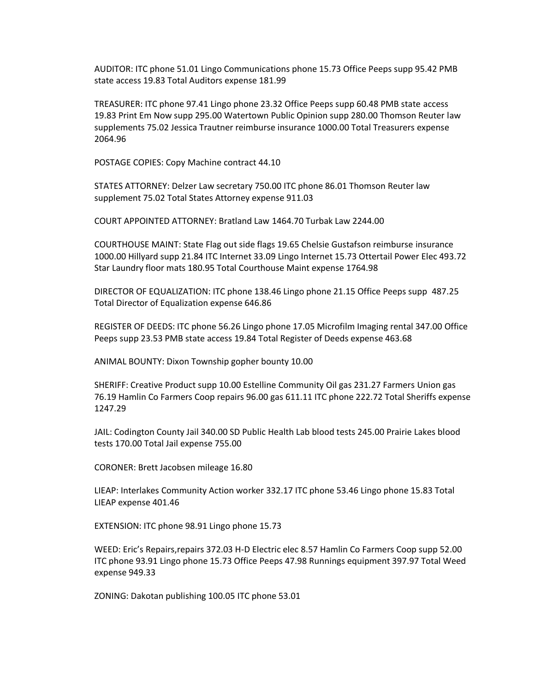AUDITOR: ITC phone 51.01 Lingo Communications phone 15.73 Office Peeps supp 95.42 PMB state access 19.83 Total Auditors expense 181.99

TREASURER: ITC phone 97.41 Lingo phone 23.32 Office Peeps supp 60.48 PMB state access 19.83 Print Em Now supp 295.00 Watertown Public Opinion supp 280.00 Thomson Reuter law supplements 75.02 Jessica Trautner reimburse insurance 1000.00 Total Treasurers expense 2064.96

POSTAGE COPIES: Copy Machine contract 44.10

STATES ATTORNEY: Delzer Law secretary 750.00 ITC phone 86.01 Thomson Reuter law supplement 75.02 Total States Attorney expense 911.03

COURT APPOINTED ATTORNEY: Bratland Law 1464.70 Turbak Law 2244.00

COURTHOUSE MAINT: State Flag out side flags 19.65 Chelsie Gustafson reimburse insurance 1000.00 Hillyard supp 21.84 ITC Internet 33.09 Lingo Internet 15.73 Ottertail Power Elec 493.72 Star Laundry floor mats 180.95 Total Courthouse Maint expense 1764.98

DIRECTOR OF EQUALIZATION: ITC phone 138.46 Lingo phone 21.15 Office Peeps supp 487.25 Total Director of Equalization expense 646.86

REGISTER OF DEEDS: ITC phone 56.26 Lingo phone 17.05 Microfilm Imaging rental 347.00 Office Peeps supp 23.53 PMB state access 19.84 Total Register of Deeds expense 463.68

ANIMAL BOUNTY: Dixon Township gopher bounty 10.00

SHERIFF: Creative Product supp 10.00 Estelline Community Oil gas 231.27 Farmers Union gas 76.19 Hamlin Co Farmers Coop repairs 96.00 gas 611.11 ITC phone 222.72 Total Sheriffs expense 1247.29

JAIL: Codington County Jail 340.00 SD Public Health Lab blood tests 245.00 Prairie Lakes blood tests 170.00 Total Jail expense 755.00

CORONER: Brett Jacobsen mileage 16.80

LIEAP: Interlakes Community Action worker 332.17 ITC phone 53.46 Lingo phone 15.83 Total LIEAP expense 401.46

EXTENSION: ITC phone 98.91 Lingo phone 15.73

WEED: Eric's Repairs,repairs 372.03 H-D Electric elec 8.57 Hamlin Co Farmers Coop supp 52.00 ITC phone 93.91 Lingo phone 15.73 Office Peeps 47.98 Runnings equipment 397.97 Total Weed expense 949.33

ZONING: Dakotan publishing 100.05 ITC phone 53.01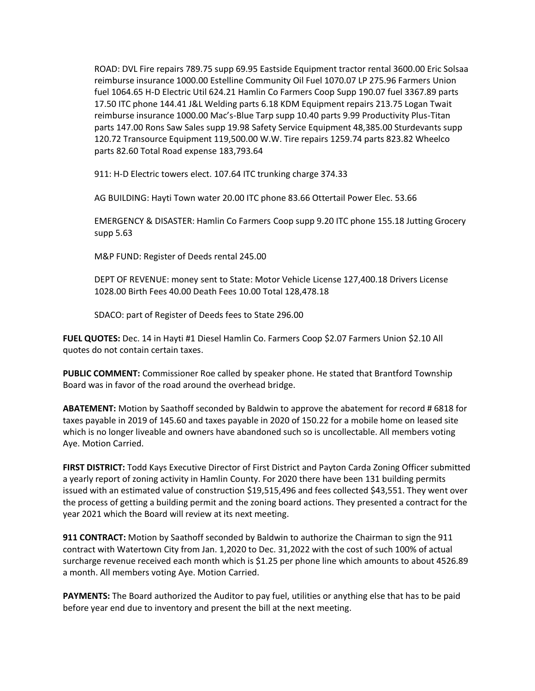ROAD: DVL Fire repairs 789.75 supp 69.95 Eastside Equipment tractor rental 3600.00 Eric Solsaa reimburse insurance 1000.00 Estelline Community Oil Fuel 1070.07 LP 275.96 Farmers Union fuel 1064.65 H-D Electric Util 624.21 Hamlin Co Farmers Coop Supp 190.07 fuel 3367.89 parts 17.50 ITC phone 144.41 J&L Welding parts 6.18 KDM Equipment repairs 213.75 Logan Twait reimburse insurance 1000.00 Mac's-Blue Tarp supp 10.40 parts 9.99 Productivity Plus-Titan parts 147.00 Rons Saw Sales supp 19.98 Safety Service Equipment 48,385.00 Sturdevants supp 120.72 Transource Equipment 119,500.00 W.W. Tire repairs 1259.74 parts 823.82 Wheelco parts 82.60 Total Road expense 183,793.64

911: H-D Electric towers elect. 107.64 ITC trunking charge 374.33

AG BUILDING: Hayti Town water 20.00 ITC phone 83.66 Ottertail Power Elec. 53.66

EMERGENCY & DISASTER: Hamlin Co Farmers Coop supp 9.20 ITC phone 155.18 Jutting Grocery supp 5.63

M&P FUND: Register of Deeds rental 245.00

DEPT OF REVENUE: money sent to State: Motor Vehicle License 127,400.18 Drivers License 1028.00 Birth Fees 40.00 Death Fees 10.00 Total 128,478.18

SDACO: part of Register of Deeds fees to State 296.00

**FUEL QUOTES:** Dec. 14 in Hayti #1 Diesel Hamlin Co. Farmers Coop \$2.07 Farmers Union \$2.10 All quotes do not contain certain taxes.

**PUBLIC COMMENT:** Commissioner Roe called by speaker phone. He stated that Brantford Township Board was in favor of the road around the overhead bridge.

**ABATEMENT:** Motion by Saathoff seconded by Baldwin to approve the abatement for record # 6818 for taxes payable in 2019 of 145.60 and taxes payable in 2020 of 150.22 for a mobile home on leased site which is no longer liveable and owners have abandoned such so is uncollectable. All members voting Aye. Motion Carried.

**FIRST DISTRICT:** Todd Kays Executive Director of First District and Payton Carda Zoning Officer submitted a yearly report of zoning activity in Hamlin County. For 2020 there have been 131 building permits issued with an estimated value of construction \$19,515,496 and fees collected \$43,551. They went over the process of getting a building permit and the zoning board actions. They presented a contract for the year 2021 which the Board will review at its next meeting.

**911 CONTRACT:** Motion by Saathoff seconded by Baldwin to authorize the Chairman to sign the 911 contract with Watertown City from Jan. 1,2020 to Dec. 31,2022 with the cost of such 100% of actual surcharge revenue received each month which is \$1.25 per phone line which amounts to about 4526.89 a month. All members voting Aye. Motion Carried.

**PAYMENTS:** The Board authorized the Auditor to pay fuel, utilities or anything else that has to be paid before year end due to inventory and present the bill at the next meeting.